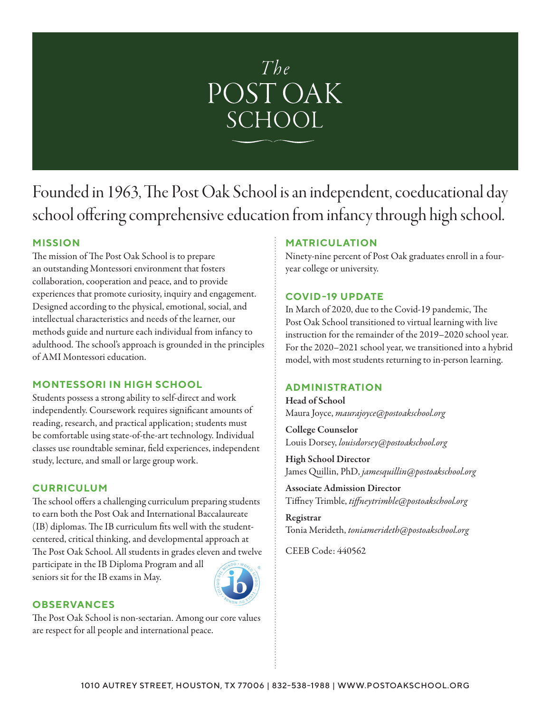

# Founded in 1963, The Post Oak School is an independent, coeducational day school offering comprehensive education from infancy through high school.

## **MISSION**

The mission of The Post Oak School is to prepare an outstanding Montessori environment that fosters collaboration, cooperation and peace, and to provide experiences that promote curiosity, inquiry and engagement. Designed according to the physical, emotional, social, and intellectual characteristics and needs of the learner, our methods guide and nurture each individual from infancy to adulthood. The school's approach is grounded in the principles of AMI Montessori education.

## **MONTESSORI IN HIGH SCHOOL**

Students possess a strong ability to self-direct and work independently. Coursework requires significant amounts of reading, research, and practical application; students must be comfortable using state-of-the-art technology. Individual classes use roundtable seminar, field experiences, independent study, lecture, and small or large group work.

## **CURRICULUM**

The school offers a challenging curriculum preparing students to earn both the Post Oak and International Baccalaureate (IB) diplomas. The IB curriculum fits well with the studentcentered, critical thinking, and developmental approach at The Post Oak School. All students in grades eleven and twelve participate in the IB Diploma Program and all seniors sit for the IB exams in May.



#### **OBSERVANCES**

The Post Oak School is non-sectarian. Among our core values are respect for all people and international peace.

## **MATRICULATION**

Ninety-nine percent of Post Oak graduates enroll in a fouryear college or university.

## **COVID-19 UPDATE**

In March of 2020, due to the Covid-19 pandemic, The Post Oak School transitioned to virtual learning with live instruction for the remainder of the 2019–2020 school year. For the 2020–2021 school year, we transitioned into a hybrid model, with most students returning to in-person learning.

## **ADMINISTRATION**

Head of School Maura Joyce, *maurajoyce@postoakschool.org*

College Counselor Louis Dorsey, *louisdorsey@postoakschool.org*

High School Director James Quillin, PhD, *jamesquillin@postoakschool.org*

Associate Admission Director Tiffney Trimble, *tiffneytrimble@postoakschool.org*

Registrar Tonia Merideth, *toniamerideth@postoakschool.org*

CEEB Code: 440562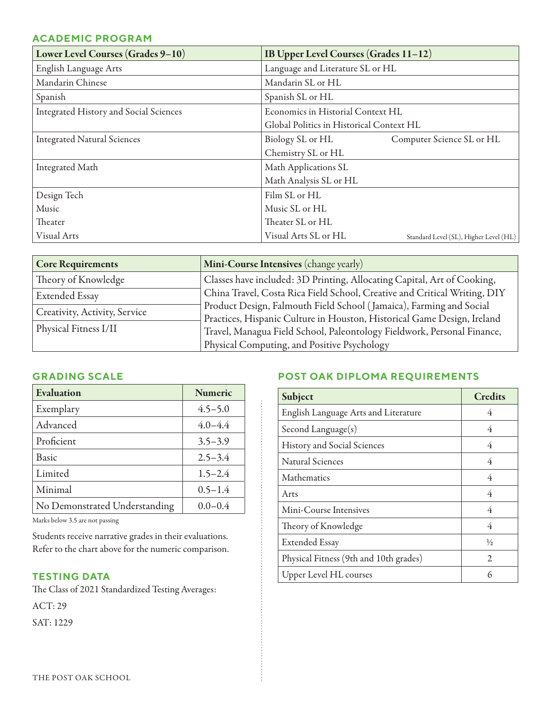#### **ACADEMIC PROGRAM**

| Lower Level Courses (Grades 9-10)      | <b>IB Upper Level Courses (Grades 11-12)</b>                   |  |
|----------------------------------------|----------------------------------------------------------------|--|
| English Language Arts                  | Language and Literature SL or HL                               |  |
| Mandarin Chinese                       | Mandarin SL or HL                                              |  |
| Spanish                                | Spanish SL or HL                                               |  |
| Integrated History and Social Sciences | Economics in Historial Context HL                              |  |
|                                        | Global Politics in Historical Context HL                       |  |
| <b>Integrated Natural Sciences</b>     | Biology SL or HL<br>Computer Science SL or HL                  |  |
|                                        | Chemistry SL or HL                                             |  |
| Integrated Math                        | Math Applications SL                                           |  |
|                                        | Math Analysis SL or HL                                         |  |
| Design Tech                            | Film SL or HL                                                  |  |
| Music                                  | Music SL or HL                                                 |  |
| Theater                                | Theater SL or HL                                               |  |
| Visual Arts                            | Visual Arts SL or HL<br>Standard Level (SL), Higher Level (HL) |  |

| <b>Core Requirements</b>      | Mini-Course Intensives (change yearly)                                                                                                             |
|-------------------------------|----------------------------------------------------------------------------------------------------------------------------------------------------|
| Theory of Knowledge           | Classes have included: 3D Printing, Allocating Capital, Art of Cooking,                                                                            |
| <b>Extended Essay</b>         | China Travel, Costa Rica Field School, Creative and Critical Writing, DIY                                                                          |
| Creativity, Activity, Service | Product Design, Falmouth Field School (Jamaica), Farming and Social                                                                                |
| Physical Fitness I/II         | Practices, Hispanic Culture in Houston, Historical Game Design, Ireland<br>Travel, Managua Field School, Paleontology Fieldwork, Personal Finance, |
|                               | Physical Computing, and Positive Psychology                                                                                                        |

ŧ

#### **GRADING SCALE**

| Evaluation                    | <b>Numeric</b> |
|-------------------------------|----------------|
| Exemplary                     | $4.5 - 5.0$    |
| Advanced                      | $4.0 - 4.4$    |
| Proficient                    | $3.5 - 3.9$    |
| Basic                         | $2.5 - 3.4$    |
| Limited                       | $1.5 - 2.4$    |
| Minimal                       | $0.5 - 1.4$    |
| No Demonstrated Understanding | $0.0 - 0.4$    |

Marks below 3.5 are not passing

Students receive narrative grades in their evaluations. Refer to the chart above for the numeric comparison.

## **TESTING DATA**

The Class of 2021 Standardized Testing Averages: ACT: 29 SAT: 1229

## **POST OAK DIPLOMA REQUIREMENTS**

| Subject                                | <b>Credits</b> |
|----------------------------------------|----------------|
| English Language Arts and Literature   | 4              |
| Second Language $(s)$                  | 4              |
| History and Social Sciences            | 4              |
| <b>Natural Sciences</b>                | 4              |
| Mathematics                            | 4              |
| Arts                                   | 4              |
| Mini-Course Intensives                 | 4              |
| Theory of Knowledge                    | 4              |
| <b>Extended Essay</b>                  | $\frac{1}{2}$  |
| Physical Fitness (9th and 10th grades) | $\mathcal{L}$  |
| Upper Level HL courses                 | 6              |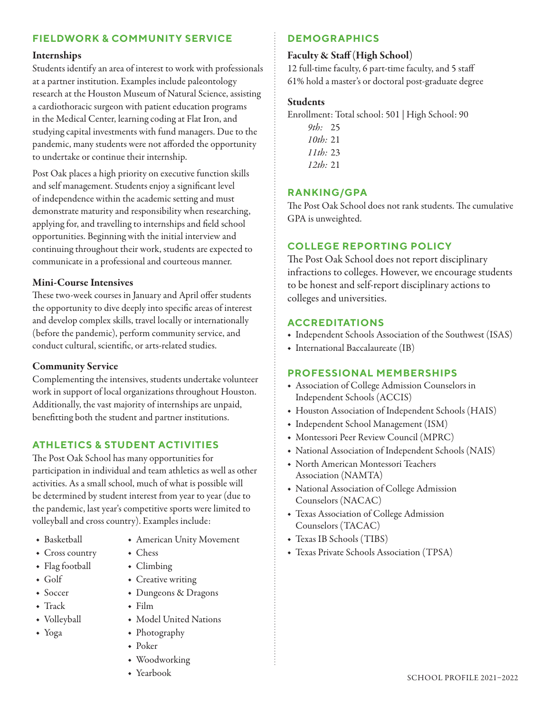## **FIELDWORK & COMMUNITY SERVICE**

#### Internships

Students identify an area of interest to work with professionals at a partner institution. Examples include paleontology research at the Houston Museum of Natural Science, assisting a cardiothoracic surgeon with patient education programs in the Medical Center, learning coding at Flat Iron, and studying capital investments with fund managers. Due to the pandemic, many students were not afforded the opportunity to undertake or continue their internship.

Post Oak places a high priority on executive function skills and self management. Students enjoy a significant level of independence within the academic setting and must demonstrate maturity and responsibility when researching, applying for, and travelling to internships and field school opportunities. Beginning with the initial interview and continuing throughout their work, students are expected to communicate in a professional and courteous manner.

#### Mini-Course Intensives

These two-week courses in January and April offer students the opportunity to dive deeply into specific areas of interest and develop complex skills, travel locally or internationally (before the pandemic), perform community service, and conduct cultural, scientific, or arts-related studies.

#### Community Service

Complementing the intensives, students undertake volunteer work in support of local organizations throughout Houston. Additionally, the vast majority of internships are unpaid, benefitting both the student and partner institutions.

## **ATHLETICS & STUDENT ACTIVITIES**

The Post Oak School has many opportunities for participation in individual and team athletics as well as other activities. As a small school, much of what is possible will be determined by student interest from year to year (due to the pandemic, last year's competitive sports were limited to volleyball and cross country). Examples include:

> ◆ Chess ◆ Climbing

 $\div$  Film

◆ Poker

◆ Creative writing ◆ Dungeons & Dragons

◆ Model United Nations

◆ American Unity Movement

- ◆ Basketball
- ◆ Cross country
- ◆ Flag football
- $\bullet$  Golf
- ◆ Soccer
- $\bullet$  Track
- ◆ Volleyball
- ◆ Yoga

## **DEMOGRAPHICS**

#### Faculty & Staff (High School)

12 full-time faculty, 6 part-time faculty, and 5 staff 61% hold a master's or doctoral post-graduate degree

#### Students

Enrollment: Total school: 501 | High School: 90

*9th:* 25 *10th:* 21 *11th:* 23 *12th:* 21

## **RANKING/GPA**

The Post Oak School does not rank students. The cumulative GPA is unweighted.

## **COLLEGE REPORTING POLICY**

The Post Oak School does not report disciplinary infractions to colleges. However, we encourage students to be honest and self-report disciplinary actions to colleges and universities.

#### **ACCREDITATIONS**

- ◆ Independent Schools Association of the Southwest (ISAS)
- ◆ International Baccalaureate (IB)

#### **PROFESSIONAL MEMBERSHIPS**

- ◆ Association of College Admission Counselors in Independent Schools (ACCIS)
- ◆ Houston Association of Independent Schools (HAIS)
- ◆ Independent School Management (ISM)
- ◆ Montessori Peer Review Council (MPRC)
- ◆ National Association of Independent Schools (NAIS)
- ◆ North American Montessori Teachers Association (NAMTA)
- ◆ National Association of College Admission Counselors (NACAC)
- ◆ Texas Association of College Admission Counselors (TACAC)
- ◆ Texas IB Schools (TIBS)
- ◆ Texas Private Schools Association (TPSA)

◆ Woodworking

◆ Photography

◆ Yearbook